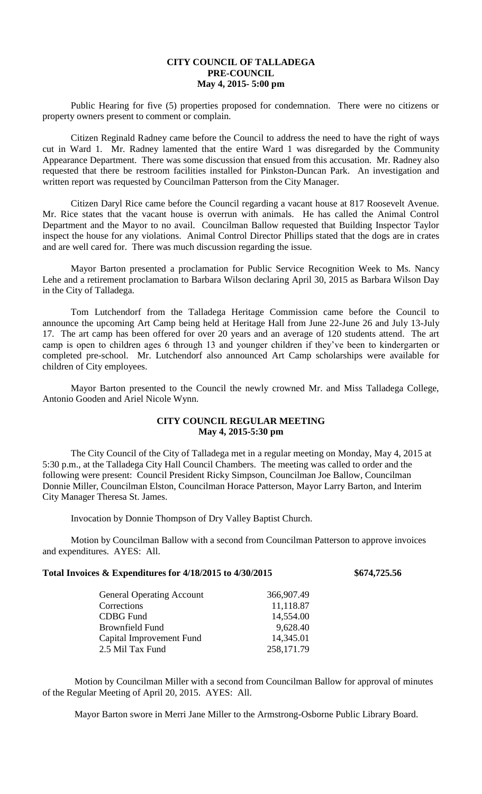# **CITY COUNCIL OF TALLADEGA PRE-COUNCIL May 4, 2015- 5:00 pm**

Public Hearing for five (5) properties proposed for condemnation. There were no citizens or property owners present to comment or complain.

Citizen Reginald Radney came before the Council to address the need to have the right of ways cut in Ward 1. Mr. Radney lamented that the entire Ward 1 was disregarded by the Community Appearance Department. There was some discussion that ensued from this accusation. Mr. Radney also requested that there be restroom facilities installed for Pinkston-Duncan Park. An investigation and written report was requested by Councilman Patterson from the City Manager.

Citizen Daryl Rice came before the Council regarding a vacant house at 817 Roosevelt Avenue. Mr. Rice states that the vacant house is overrun with animals. He has called the Animal Control Department and the Mayor to no avail. Councilman Ballow requested that Building Inspector Taylor inspect the house for any violations. Animal Control Director Phillips stated that the dogs are in crates and are well cared for. There was much discussion regarding the issue.

Mayor Barton presented a proclamation for Public Service Recognition Week to Ms. Nancy Lehe and a retirement proclamation to Barbara Wilson declaring April 30, 2015 as Barbara Wilson Day in the City of Talladega.

Tom Lutchendorf from the Talladega Heritage Commission came before the Council to announce the upcoming Art Camp being held at Heritage Hall from June 22-June 26 and July 13-July 17. The art camp has been offered for over 20 years and an average of 120 students attend. The art camp is open to children ages 6 through 13 and younger children if they've been to kindergarten or completed pre-school. Mr. Lutchendorf also announced Art Camp scholarships were available for children of City employees.

Mayor Barton presented to the Council the newly crowned Mr. and Miss Talladega College, Antonio Gooden and Ariel Nicole Wynn.

# **CITY COUNCIL REGULAR MEETING May 4, 2015-5:30 pm**

The City Council of the City of Talladega met in a regular meeting on Monday, May 4, 2015 at 5:30 p.m., at the Talladega City Hall Council Chambers. The meeting was called to order and the following were present: Council President Ricky Simpson, Councilman Joe Ballow, Councilman Donnie Miller, Councilman Elston, Councilman Horace Patterson, Mayor Larry Barton, and Interim City Manager Theresa St. James.

Invocation by Donnie Thompson of Dry Valley Baptist Church.

Motion by Councilman Ballow with a second from Councilman Patterson to approve invoices and expenditures. AYES: All.

#### **Total Invoices & Expenditures for 4/18/2015 to 4/30/2015 \$674,725.56**

| <b>General Operating Account</b> | 366,907.49 |
|----------------------------------|------------|
| Corrections                      | 11,118.87  |
| <b>CDBG</b> Fund                 | 14,554.00  |
| Brownfield Fund                  | 9,628.40   |
| Capital Improvement Fund         | 14,345.01  |
| 2.5 Mil Tax Fund                 | 258,171.79 |
|                                  |            |

Motion by Councilman Miller with a second from Councilman Ballow for approval of minutes of the Regular Meeting of April 20, 2015. AYES: All.

Mayor Barton swore in Merri Jane Miller to the Armstrong-Osborne Public Library Board.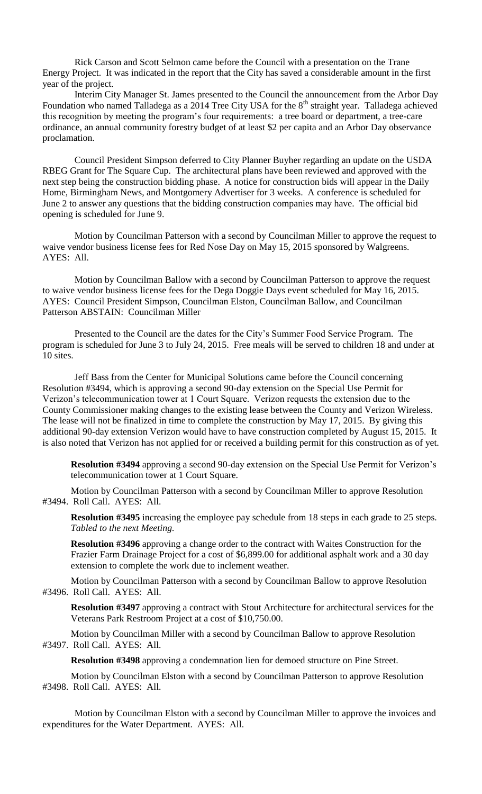Rick Carson and Scott Selmon came before the Council with a presentation on the Trane Energy Project. It was indicated in the report that the City has saved a considerable amount in the first year of the project.

Interim City Manager St. James presented to the Council the announcement from the Arbor Day Foundation who named Talladega as a 2014 Tree City USA for the 8<sup>th</sup> straight year. Talladega achieved this recognition by meeting the program's four requirements: a tree board or department, a tree-care ordinance, an annual community forestry budget of at least \$2 per capita and an Arbor Day observance proclamation.

Council President Simpson deferred to City Planner Buyher regarding an update on the USDA RBEG Grant for The Square Cup. The architectural plans have been reviewed and approved with the next step being the construction bidding phase. A notice for construction bids will appear in the Daily Home, Birmingham News, and Montgomery Advertiser for 3 weeks. A conference is scheduled for June 2 to answer any questions that the bidding construction companies may have. The official bid opening is scheduled for June 9.

Motion by Councilman Patterson with a second by Councilman Miller to approve the request to waive vendor business license fees for Red Nose Day on May 15, 2015 sponsored by Walgreens. AYES: All.

Motion by Councilman Ballow with a second by Councilman Patterson to approve the request to waive vendor business license fees for the Dega Doggie Days event scheduled for May 16, 2015. AYES: Council President Simpson, Councilman Elston, Councilman Ballow, and Councilman Patterson ABSTAIN: Councilman Miller

Presented to the Council are the dates for the City's Summer Food Service Program. The program is scheduled for June 3 to July 24, 2015. Free meals will be served to children 18 and under at 10 sites.

Jeff Bass from the Center for Municipal Solutions came before the Council concerning Resolution #3494, which is approving a second 90-day extension on the Special Use Permit for Verizon's telecommunication tower at 1 Court Square. Verizon requests the extension due to the County Commissioner making changes to the existing lease between the County and Verizon Wireless. The lease will not be finalized in time to complete the construction by May 17, 2015. By giving this additional 90-day extension Verizon would have to have construction completed by August 15, 2015. It is also noted that Verizon has not applied for or received a building permit for this construction as of yet.

**Resolution #3494** approving a second 90-day extension on the Special Use Permit for Verizon's telecommunication tower at 1 Court Square.

Motion by Councilman Patterson with a second by Councilman Miller to approve Resolution #3494. Roll Call. AYES: All.

**Resolution #3495** increasing the employee pay schedule from 18 steps in each grade to 25 steps. *Tabled to the next Meeting.*

**Resolution #3496** approving a change order to the contract with Waites Construction for the Frazier Farm Drainage Project for a cost of \$6,899.00 for additional asphalt work and a 30 day extension to complete the work due to inclement weather.

Motion by Councilman Patterson with a second by Councilman Ballow to approve Resolution #3496. Roll Call. AYES: All.

**Resolution #3497** approving a contract with Stout Architecture for architectural services for the Veterans Park Restroom Project at a cost of \$10,750.00.

Motion by Councilman Miller with a second by Councilman Ballow to approve Resolution #3497. Roll Call. AYES: All.

**Resolution #3498** approving a condemnation lien for demoed structure on Pine Street.

Motion by Councilman Elston with a second by Councilman Patterson to approve Resolution #3498. Roll Call. AYES: All.

Motion by Councilman Elston with a second by Councilman Miller to approve the invoices and expenditures for the Water Department. AYES: All.